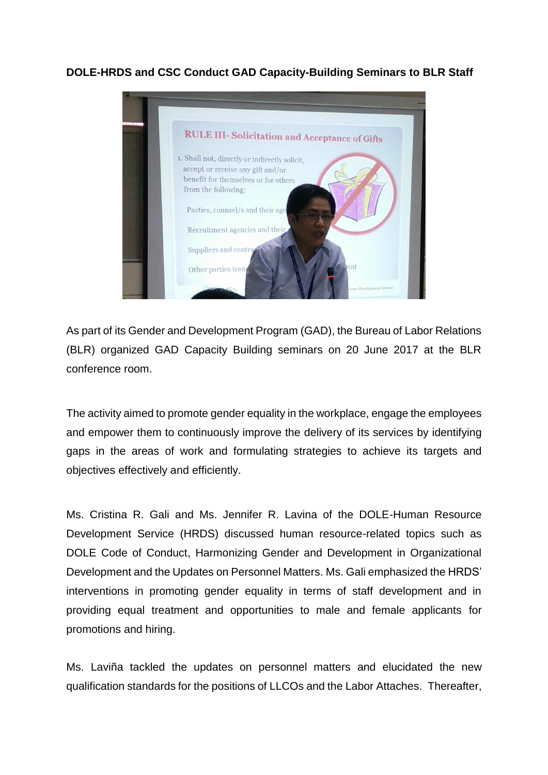**DOLE-HRDS and CSC Conduct GAD Capacity-Building Seminars to BLR Staff**



As part of its Gender and Development Program (GAD), the Bureau of Labor Relations (BLR) organized GAD Capacity Building seminars on 20 June 2017 at the BLR conference room.

The activity aimed to promote gender equality in the workplace, engage the employees and empower them to continuously improve the delivery of its services by identifying gaps in the areas of work and formulating strategies to achieve its targets and objectives effectively and efficiently.

Ms. Cristina R. Gali and Ms. Jennifer R. Lavina of the DOLE-Human Resource Development Service (HRDS) discussed human resource-related topics such as DOLE Code of Conduct, Harmonizing Gender and Development in Organizational Development and the Updates on Personnel Matters. Ms. Gali emphasized the HRDS' interventions in promoting gender equality in terms of staff development and in providing equal treatment and opportunities to male and female applicants for promotions and hiring.

Ms. Laviña tackled the updates on personnel matters and elucidated the new qualification standards for the positions of LLCOs and the Labor Attaches. Thereafter,